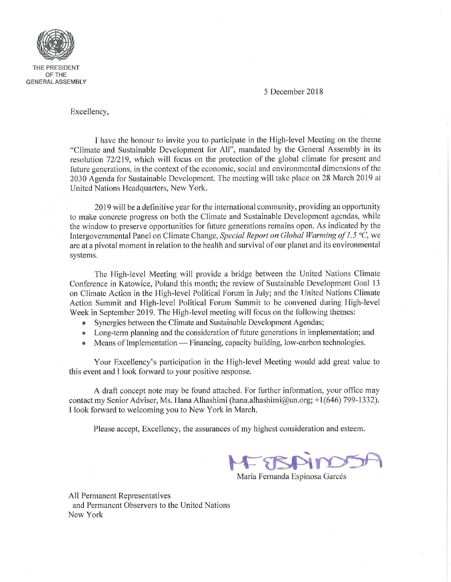

5 December 2018

Excellency,

I have the honour to invite you to participate in the High-level Meeting on the theme "Climate and Sustainable Development for All", mandated by the General Assembly in its resolution 72/219, which will focus on the protection of the global climate for present and future generations, in the context of the economic, social and environmental dimensions of the 2030 Agenda for Sustainable Development. The meeting will take place on 28 March 2019 at United Nations Headquarters, New York.

2019 will be a definitive year for the international community, providing an opportunity to make concrete progress on both the Climate and Sustainable Development agendas, while the window to preserve opportunities for future generations remains open. As indicated by the Intergovernmental Panel on Climate Change, Special Report on Global Warming of 1.5 °C, we are at a pivotal moment in relation to the health and survival of our planet and its environmental systems.

The High-level Meeting will provide a bridge between the United Nations Climate Conference in Katowice, Poland this month; the review of Sustainable Development Goal 13 on Climate Action in the High-level Political Forum in July; and the United Nations Climate Action Summit and High-level Political Forum Summit to be convened during High-level Week in September 2019. The High-level meeting will focus on the following themes:

- Synergies between the Climate and Sustainable Development Agendas;
- ® Long-term planning and the consideration of future generations in implementation; and
- $\bullet$  Means of Implementation Financing, capacity building, low-carbon technologies.

Your Excellency's participation in the High-level Meeting would add great value to this event and I look forward to your positive response.

A draft concept note may be found attached. For further information, your office may contact my Senior Adviser, Ms. Hana Alhashimi (hana.alhashimi@un.org; +1(646) 799-1332). I look forward to welcoming you to New York in March.

Please accept, Excellency, the assurances of my highest consideration and esteem.

ESBAI

María Fernanda Espinosa Garcés

All Permanent Representatives and Permanent Observers to the United Nations New York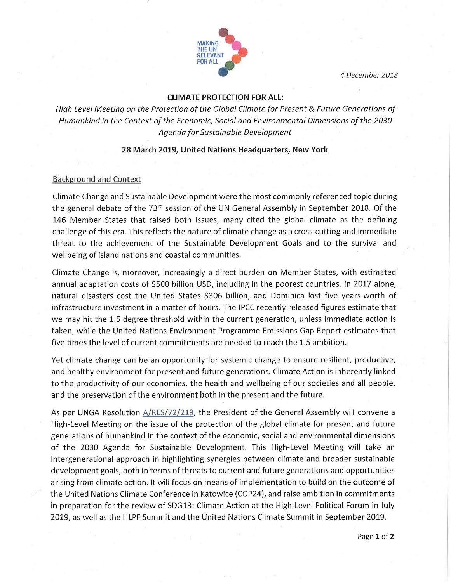4 December 2018



# CLIMATE PROTECTION FOR ALL:

High Level Meeting on the Protection of the Global Climate for Present & Future Generations of Humankind in the Context of the Economic, Social and Environmental Dimensions of the 2030 Agenda for Sustainable Development

### 28 March 2019, United Nations Headquarters, New York

## Background and Context

Climate Change and Sustainable Development were the most commonly referenced topic during the general debate of the 73<sup>rd</sup> session of the UN General Assembly in September 2018. Of the 146 Member States that raised both issues, many cited the global climate as the defining challenge of this era. This reflects the nature of climate change as a cross-cutting and immediate threat to the achievement of the Sustainable Development Goals and to the survival and wellbeing of island nations and coastal communities.

Climate Change is, moreover, increasingly a direct burden on Member States, with estimated annual adaptation costs of \$500 billion USD, including in the poorest countries. In 2017 alone, natural disasters cost the United States \$306 billion, and Dominica lost five years-worth of infrastructure investment in a matter of hours. The IPCC recently released figures estimate that we may hit the 1.5 degree threshold within the current generation, unless immediate action is taken, while the United Nations Environment Programme Emissions Gap Report estimates that five times the level of current commitments are needed to reach the 1.5 ambition.

Yet climate change can be an opportunity for systemic change to ensure resilient, productive, and healthy environment for present and future generations. Climate Action is inherently linked to the productivity of our economies, the health and wellbeing of our societies and all people, and the preservation of the environment both in the present and the future.

As per UNGA Resolution A/RES/72/219, the President of the General Assembly will convene a High-Level Meeting on the issue of the protection of the global climate for present and future generations of humankind in the context of the economic, social and environmental dimensions of the 2030 Agenda for Sustainable Development. This High-Level Meeting will take an intergenerational approach in highlighting synergies between climate and broader sustainable development goals, both in terms of threats to current and future generations and opportunities arising from climate action. It will focus on means of implementation to build on the outcome of the United Nations Climate Conference in Katowice (COP24), and raise ambition in commitments in preparation for the review of SDG13: Climate Action at the High-Level Political Forum in July 2019, as well as the HLPF Summit and the United Nations Climate Summit in September 2019.